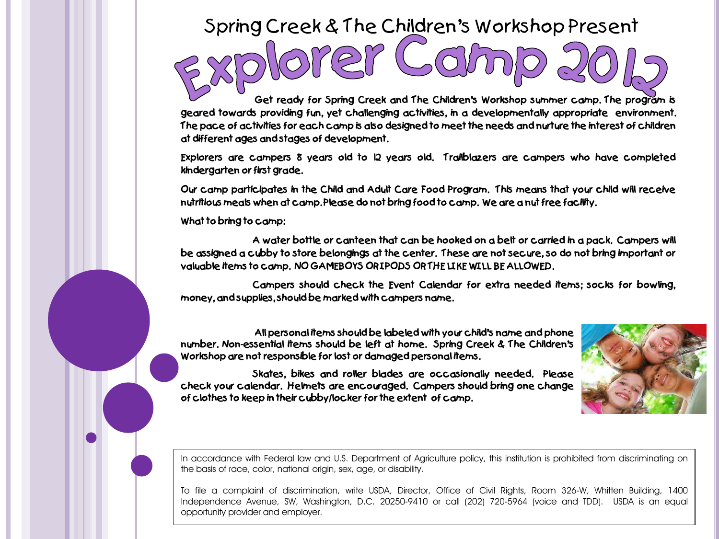## Spring Creek & The Children's Workshop Present

**Get ready for Spring Creek and The Children's Workshop summer camp. The program is geared towards providing fun, yet challenging activities, in a developmentally appropriate environment.**  The pace of activities for each camp is also designed to meet the needs and nurture the interest of children **at different ages and stages of development.**

**Explorers are campers 8 years old to 12 years old. Trailblazers are campers who have completed kindergarten or first grade.**

**Our camp participates in the Child and Adult Care Food Program. This means that your child will receive nutritious meals when at camp. Please do not bring food to camp. We are a nut free facility.** 

**What to bring to camp:**

**A water bottle or canteen that can be hooked on a belt or carried in a pack. Campers will** be assigned a cubby to store belongings at the center. These are not secure, so do not bring important or **valuable items to camp. NO GAMEBOYS OR IPODS OR THE LIKE WILL BE ALLOWED.**

**Campers should check the Event Calendar for extra needed items; socks for bowling, money, and supplies, should be marked with campers name.**

**All personal items should be labeled with your child's name and phone number. Non-essential items should be left at home. Spring Creek & The Children's Workshop are not responsible for lost or damaged personal items.**

**Skates, bikes and roller blades are occasionally needed. Please check your calendar. Helmets are encouraged. Campers should bring one change of clothes to keep in their cubby/locker for the extent of camp.**



In accordance with Federal law and U.S. Department of Agriculture policy, this institution is prohibited from discriminating on the basis of race, color, national origin, sex, age, or disability.

To file a complaint of discrimination, write USDA, Director, Office of Civil Rights, Room 326-W, Whitten Building, 1400 Independence Avenue, SW, Washington, D.C. 20250-9410 or call (202) 720-5964 (voice and TDD). USDA is an equal opportunity provider and employer.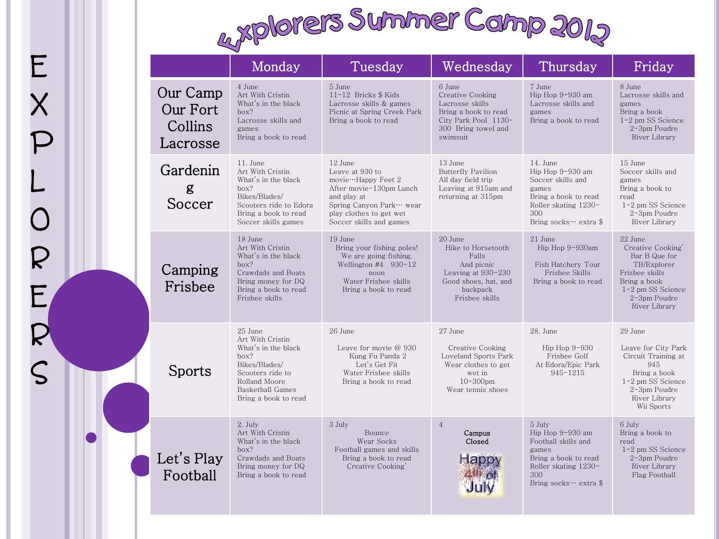## E X P L<br>O R  $\mathsf{E}_\ell$

R

S



|                                             | Monday                                                                                                                                                       | Tuesday                                                                                                                                                                      | Wednesday                                                                                                                        | Thursday                                                                                                                                   | Friday                                                                                                                                                 |
|---------------------------------------------|--------------------------------------------------------------------------------------------------------------------------------------------------------------|------------------------------------------------------------------------------------------------------------------------------------------------------------------------------|----------------------------------------------------------------------------------------------------------------------------------|--------------------------------------------------------------------------------------------------------------------------------------------|--------------------------------------------------------------------------------------------------------------------------------------------------------|
| Our Camp<br>Our Fort<br>Collins<br>Lacrosse | 4 June<br>Art With Cristin<br>What's in the black<br>box?<br>Lacrosse skills and<br>games<br>Bring a book to read                                            | 5 June<br>$11-12$ Bricks \$ Kids<br>Lacrosse skills & games<br>Picnic at Spring Creek Park<br>Bring a book to read                                                           | 6 June<br>Creative Cooking<br>Lacrosse skills<br>Bring a book to read<br>City Park Pool 1130-<br>300 Bring towel and<br>swimsuit | 7 June<br>Hip Hop 9-930 am<br>Lacrosse skills and<br>games<br>Bring a book to read                                                         | 8 June<br>Lacrosse skills and<br>games<br>Bring a book<br>$1-2$ pm SS Science<br>2-3pm Poudre<br>River Library                                         |
| Gardenin<br>g<br>Soccer                     | 11. June<br>Art With Cristin<br>What's in the black<br>box?<br>Bikes/Blades/<br>Scooters ride to Edora<br>Bring a book to read<br>Soccer skills games        | 12 June<br>Leave at 930 to<br>movie…Happy Feet 2<br>After movie-130pm Lunch<br>and play at<br>Spring Canyon Park… wear<br>play clothes to get wet<br>Soccer skills and games | 13 June<br><b>Butterfly Pavilion</b><br>All day field trip<br>Leaving at 915am and<br>returning at 315pm                         | 14. June<br>Hip Hop 9-930 am<br>Soccer skills and<br>games<br>Bring a book to read<br>Roller skating 1230-<br>300<br>Bring socks… extra \$ | 15 June<br>Soccer skills and<br>games<br>Bring a book to<br>read<br>1-2 pm SS Science<br>2-3pm Poudre<br>River Library                                 |
| Camping<br>Frisbee                          | 18 June<br>Art With Cristin<br>What's in the black<br>box?<br>Crawdads and Boats<br>Bring money for DQ<br>Bring a book to read<br>Frisbee skills             | 19 June<br>Bring your fishing poles!<br>We are going fishing.<br>Wellington $#4$ 930-12<br>noon<br>Water Frisbee skills<br>Bring a book to read                              | 20 June<br>Hike to Horsetooth<br>Falls<br>And picnic<br>Leaving at 930-230<br>Good shoes, hat, and<br>backpack<br>Frisbee skills | 21 June<br>Hip Hop 9-930am<br>Fish Hatchery Tour<br>Frisbee Skills<br>Bring a book to read                                                 | 22 June<br>Creative Cooking'<br>Bar B Que for<br>TB/Explorer<br>Frisbee skills<br>Bring a book<br>$1-2$ pm SS Science<br>2-3pm Poudre<br>River Library |
| Sports                                      | 25 June<br>Art With Cristin<br>What's in the black<br>box?<br>Bikes/Blades/<br>Scooters ride to<br>Rolland Moore<br>Basketball Games<br>Bring a book to read | 26 June<br>Leave for movie $@930$<br>Kung Fu Panda 2<br>Let's Get Fit<br>Water Frisbee skills<br>Bring a book to read                                                        | 27 June<br>Creative Cooking<br>Loveland Sports Park<br>Wear clothes to get<br>wet in<br>$10 - 300$ pm<br>Wear tennis shoes       | 28. June<br>Hip Hop $9-930$<br>Frisbee Golf<br>At Edora/Epic Park<br>945-1215                                                              | 29 June<br>Leave for City Park<br>Circuit Training at<br>945<br>Bring a book<br>1-2 pm SS Science<br>2-3pm Poudre<br>River Library<br>Wii Sports       |
| Let's Play<br>Football                      | 2. July<br>Art With Cristin<br>What's in the black<br>box?<br>Crawdads and Boats<br>Bring money for DQ<br>Bring a book to read                               | 3 July<br>Bounce<br>Wear Socks<br>Football games and skills<br>Bring a book to read<br>Creative Cooking'                                                                     | $\overline{4}$<br>Campus<br>Closed                                                                                               | 5 July<br>Hip Hop 9-930 am<br>Football skills and<br>games<br>Bring a book to read<br>Roller skating 1230-<br>300<br>Bring socks… extra \$ | 6 July<br>Bring a book to<br>read<br>1-2 pm SS Science<br>2-3pm Poudre<br>River Library<br>Flag Football                                               |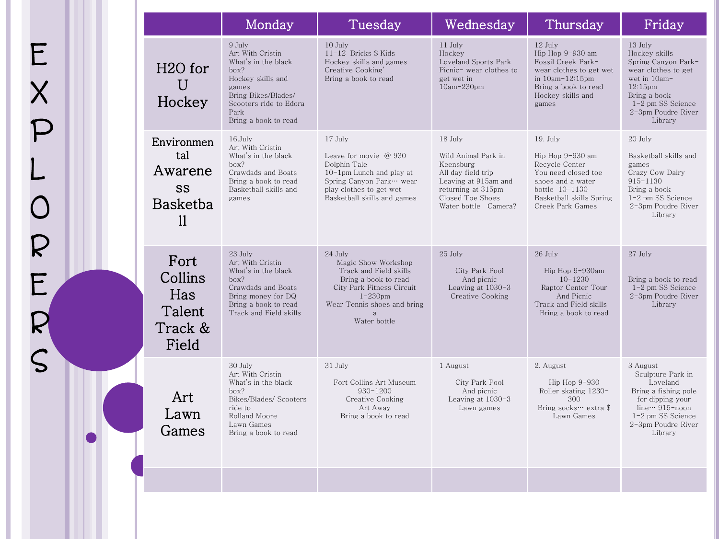|                                                             | Monday                                                                                                                                                                   | Tuesday                                                                                                                                                                         | Wednesday                                                                                                                                                     | Thursday                                                                                                                                                       | Friday                                                                                                                                                                                |
|-------------------------------------------------------------|--------------------------------------------------------------------------------------------------------------------------------------------------------------------------|---------------------------------------------------------------------------------------------------------------------------------------------------------------------------------|---------------------------------------------------------------------------------------------------------------------------------------------------------------|----------------------------------------------------------------------------------------------------------------------------------------------------------------|---------------------------------------------------------------------------------------------------------------------------------------------------------------------------------------|
| H <sub>2</sub> O for<br>Ū<br>Hockey                         | 9 July<br>Art With Cristin<br>What's in the black<br>box?<br>Hockey skills and<br>games<br>Bring Bikes/Blades/<br>Scooters ride to Edora<br>Park<br>Bring a book to read | 10 July<br>$11-12$ Bricks \$ Kids<br>Hockey skills and games<br>Creative Cooking'<br>Bring a book to read                                                                       | $11$ July<br>Hockey<br>Loveland Sports Park<br>Picnic- wear clothes to<br>get wet in<br>10am-230pm                                                            | $12$ July<br>Hip Hop 9-930 am<br>Fossil Creek Park-<br>wear clothes to get wet<br>in $10am-12:15pm$<br>Bring a book to read<br>Hockey skills and<br>games      | $13$ July<br>Hockey skills<br>Spring Canyon Park-<br>wear clothes to get<br>wet in 10am-<br>12:15 <sub>pm</sub><br>Bring a book<br>1-2 pm SS Science<br>2-3pm Poudre River<br>Library |
| Environmen<br>tal<br>Awarene<br>SS<br><b>Basketba</b><br>11 | $16$ . July<br>Art With Cristin<br>What's in the black<br>box?<br>Crawdads and Boats<br>Bring a book to read<br>Basketball skills and<br>games                           | 17 July<br>Leave for movie $@930$<br>Dolphin Tale<br>10-1pm Lunch and play at<br>Spring Canyon Park… wear<br>play clothes to get wet<br>Basketball skills and games             | $18$ July<br>Wild Animal Park in<br>Keensburg<br>All day field trip<br>Leaving at 915am and<br>returning at 315pm<br>Closed Toe Shoes<br>Water bottle Camera? | $19.$ July<br>Hip Hop 9-930 am<br>Recycle Center<br>You need closed toe<br>shoes and a water<br>bottle 10-1130<br>Basketball skills Spring<br>Creek Park Games | 20 July<br>Basketball skills and<br>games<br>Crazy Cow Dairy<br>915-1130<br>Bring a book<br>1-2 pm SS Science<br>2-3pm Poudre River<br>Library                                        |
| Fort<br>Collins<br>Has<br>Talent<br>Track &<br>Field        | 23 July<br>Art With Cristin<br>What's in the black<br>box?<br>Crawdads and Boats<br>Bring money for DQ<br>Bring a book to read<br>Track and Field skills                 | 24 July<br>Magic Show Workshop<br>Track and Field skills<br>Bring a book to read<br>City Park Fitness Circuit<br>$1-230$ pm<br>Wear Tennis shoes and bring<br>a<br>Water bottle | $25$ July<br>City Park Pool<br>And picnic<br>Leaving at $1030-3$<br>Creative Cooking                                                                          | $26$ July<br>Hip Hop 9-930am<br>$10 - 1230$<br>Raptor Center Tour<br>And Picnic<br>Track and Field skills<br>Bring a book to read                              | 27 July<br>Bring a book to read<br>1-2 pm SS Science<br>2-3pm Poudre River<br>Library                                                                                                 |
| Art<br>Lawn<br>Games                                        | 30 July<br>Art With Cristin<br>What's in the black<br>box?<br>Bikes/Blades/ Scooters<br>ride to<br>Rolland Moore<br>Lawn Games<br>Bring a book to read                   | 31 July<br>Fort Collins Art Museum<br>$930 - 1200$<br>Creative Cooking<br>Art Away<br>Bring a book to read                                                                      | 1 August<br>City Park Pool<br>And picnic<br>Leaving at $1030-3$<br>Lawn games                                                                                 | 2. August<br>Hip Hop $9-930$<br>Roller skating 1230-<br>300<br>Bring socks… extra \$<br>Lawn Games                                                             | 3 August<br>Sculpture Park in<br>Loveland<br>Bring a fishing pole<br>for dipping your<br>line ··· 915-noon<br>1-2 pm SS Science<br>2-3pm Poudre River<br>Library                      |
|                                                             |                                                                                                                                                                          |                                                                                                                                                                                 |                                                                                                                                                               |                                                                                                                                                                |                                                                                                                                                                                       |

E<br>P<br>P

X P L O

R

E<br>R<br>S<br>S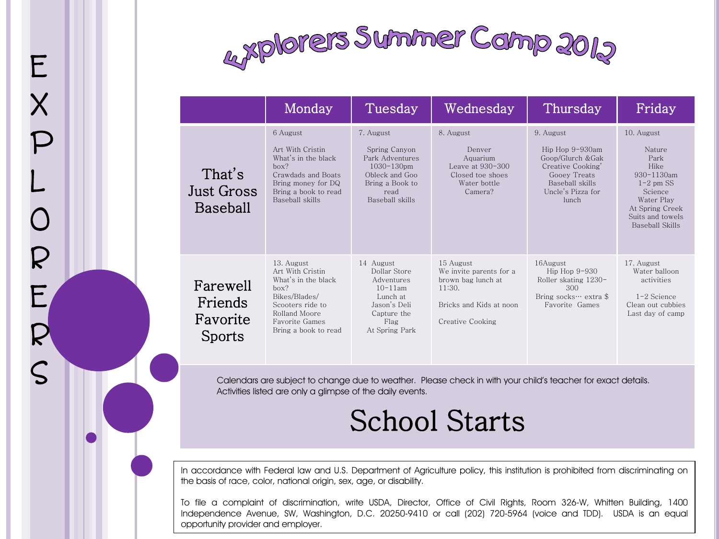

E

X

P

L

 $\overline{O}$ 

R

 $\mathsf{E}_\ell$ 

R

S

|                                           | Monday                                                                                                                                                               | Tuesday                                                                                                                          | Wednesday                                                                                                           | Thursday                                                                                                                                | Friday                                                                                                                                                    |
|-------------------------------------------|----------------------------------------------------------------------------------------------------------------------------------------------------------------------|----------------------------------------------------------------------------------------------------------------------------------|---------------------------------------------------------------------------------------------------------------------|-----------------------------------------------------------------------------------------------------------------------------------------|-----------------------------------------------------------------------------------------------------------------------------------------------------------|
| That's<br>Just Gross<br>Baseball          | 6 August<br>Art With Cristin<br>What's in the black<br>box?<br>Crawdads and Boats<br>Bring money for DQ<br>Bring a book to read<br>Baseball skills                   | 7. August<br>Spring Canyon<br>Park Adventures<br>$1030 - 130$ pm<br>Obleck and Goo<br>Bring a Book to<br>read<br>Baseball skills | 8. August<br>Denver<br>Aquarium<br>Leave at 930-300<br>Closed toe shoes<br>Water bottle<br>Camera?                  | 9. August<br>Hip Hop 9-930am<br>Goop/Glurch & Gak<br>Creative Cooking'<br>Gooey Treats<br>Baseball skills<br>Uncle's Pizza for<br>lunch | 10. August<br>Nature<br>Park<br>Hike<br>$930 - 1130$ am<br>$1-2$ pm SS<br>Science<br>Water Play<br>At Spring Creek<br>Suits and towels<br>Baseball Skills |
| Farewell<br>Friends<br>Favorite<br>Sports | 13. August<br>Art With Cristin<br>What's in the black<br>box?<br>Bikes/Blades/<br>Scooters ride to<br>Rolland Moore<br><b>Favorite Games</b><br>Bring a book to read | 14 August<br>Dollar Store<br>Adventures<br>$10 - 11$ am<br>Lunch at<br>Jason's Deli<br>Capture the<br>Flag<br>At Spring Park     | 15 August<br>We invite parents for a<br>brown bag lunch at<br>11:30.<br>Bricks and Kids at noon<br>Creative Cooking | 16August<br>Hip Hop $9-930$<br>Roller skating 1230-<br>300<br>Bring socks… extra \$<br>Favorite Games                                   | 17. August<br>Water balloon<br>activities<br>$1-2$ Science<br>Clean out cubbies<br>Last day of camp                                                       |

Calendars are subject to change due to weather. Please check in with your child's teacher for exact details.<br>Activities listed are only a glimpse of the daily events. Activities listed are only a glimpse of the daily events.

## School Starts

In accordance with Federal law and U.S. Department of Agriculture policy, this institution is prohibited from discriminating on the basis of race, color, national origin, sex, age, or disability.

To file a complaint of discrimination, write USDA, Director, Office of Civil Rights, Room 326-W, Whitten Building, 1400 Independence Avenue, SW, Washington, D.C. 20250-9410 or call (202) 720-5964 (voice and TDD). USDA is an equal opportunity provider and employer.